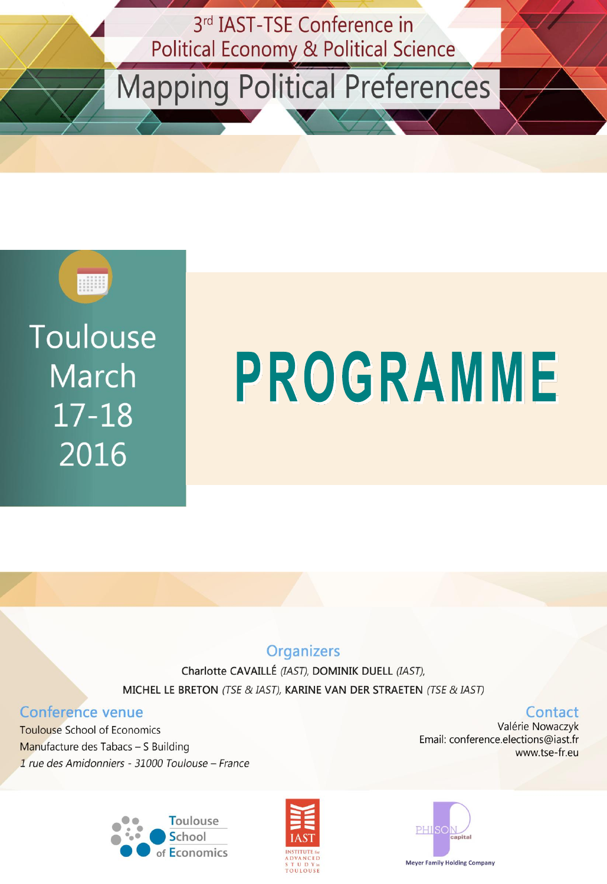

Mapping Political Preferences



Toulouse **March**  $17 - 18$ 2016

# PROGRAMME

#### **Organizers**

Charlotte CAVAILLÉ (IAST), DOMINIK DUELL (IAST), MICHEL LE BRETON (TSE & IAST), KARINE VAN DER STRAETEN (TSE & IAST)

#### **Conference venue**

**Toulouse School of Economics** Manufacture des Tabacs - S Building 1 rue des Amidonniers - 31000 Toulouse - France







#### Contact

Valérie Nowaczyk Email: conference.elections@iast.fr www.tse-fr.eu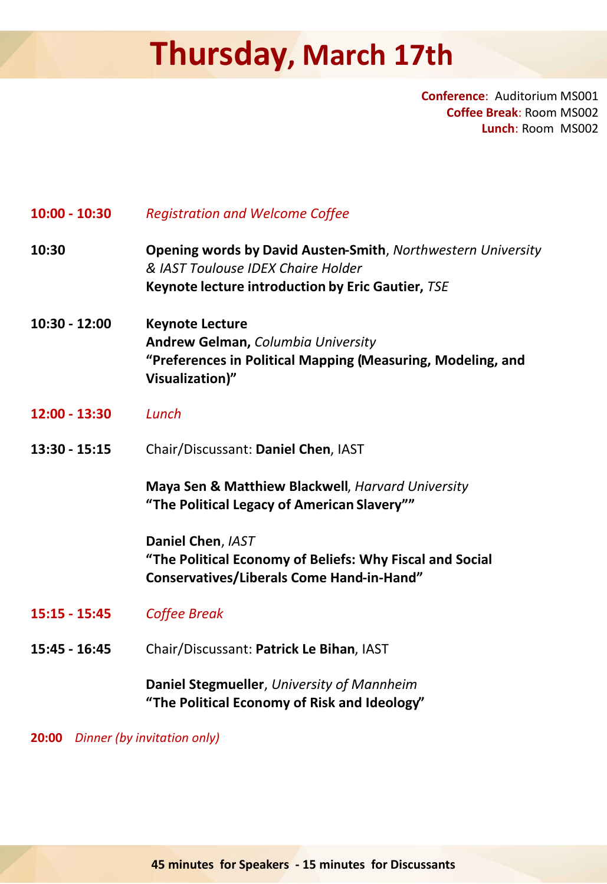## **Thursday, March 17th**

**Conference**: Auditorium MS001 **Coffee Break**: Room MS002 **Lunch**: Room MS002

| $10:00 - 10:30$ | <b>Registration and Welcome Coffee</b>                                                                                                                  |
|-----------------|---------------------------------------------------------------------------------------------------------------------------------------------------------|
| 10:30           | Opening words by David Austen-Smith, Northwestern University<br>& IAST Toulouse IDEX Chaire Holder<br>Keynote lecture introduction by Eric Gautier, TSE |
| 10:30 - 12:00   | <b>Keynote Lecture</b><br><b>Andrew Gelman, Columbia University</b><br>"Preferences in Political Mapping (Measuring, Modeling, and<br>Visualization)"   |
| 12:00 - 13:30   | Lunch                                                                                                                                                   |
| $13:30 - 15:15$ | Chair/Discussant: Daniel Chen, IAST                                                                                                                     |
|                 | Maya Sen & Matthiew Blackwell, Harvard University<br>"The Political Legacy of American Slavery""                                                        |
|                 | Daniel Chen, IAST<br>"The Political Economy of Beliefs: Why Fiscal and Social<br><b>Conservatives/Liberals Come Hand-in-Hand"</b>                       |
| $15:15 - 15:45$ | <b>Coffee Break</b>                                                                                                                                     |
| 15:45 - 16:45   | Chair/Discussant: Patrick Le Bihan, IAST                                                                                                                |
|                 | Daniel Stegmueller, University of Mannheim<br>"The Political Economy of Risk and Ideology"                                                              |

**20:00** *Dinner (by invitation only)*